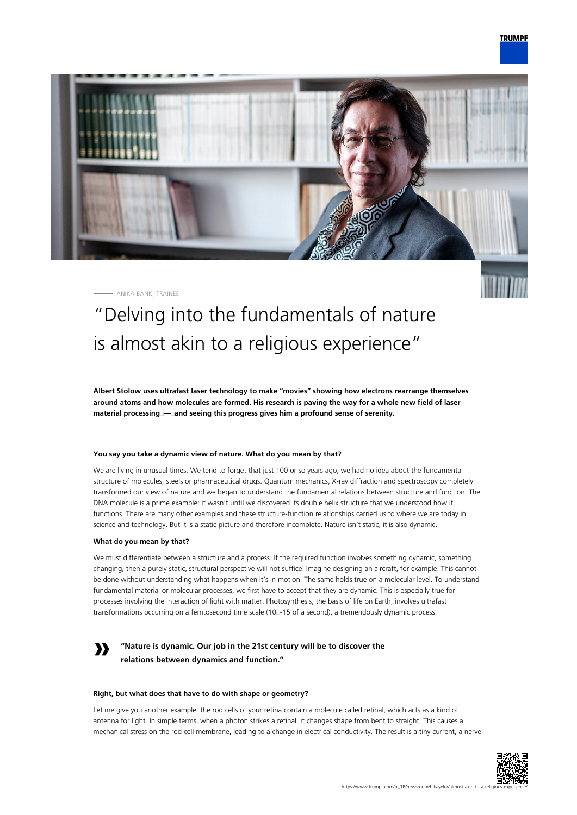

ANIKA BANK, TRAINEE



# "Delving into the fundamentals of nature is almost akin to a religious experience"

**Albert Stolow uses ultrafast laser technology to make "movies" showing how electrons rearrange themselves around atoms and how molecules are formed. His research is paving the way for a whole new field of laser material processing — and seeing this progress gives him a profound sense of serenity.**

# **You say you take a dynamic view of nature. What do you mean by that?**

We are living in unusual times. We tend to forget that just 100 or so years ago, we had no idea about the fundamental structure of molecules, steels or pharmaceutical drugs. Quantum mechanics, X-ray diffraction and spectroscopy completely transformed our view of nature and we began to understand the fundamental relations between structure and function. The DNA molecule is a prime example: it wasn't until we discovered its double helix structure that we understood how it functions. There are many other examples and these structure-function relationships carried us to where we are today in science and technology. But it is a static picture and therefore incomplete. Nature isn't static, it is also dynamic.

## **What do you mean by that?**

We must differentiate between a structure and a process. If the required function involves something dynamic, something changing, then a purely static, structural perspective will not suffice. Imagine designing an aircraft, for example. This cannot be done without understanding what happens when it's in motion. The same holds true on a molecular level. To understand fundamental material or molecular processes, we first have to accept that they are dynamic. This is especially true for processes involving the interaction of light with matter. Photosynthesis, the basis of life on Earth, involves ultrafast transformations occurring on a femtosecond time scale (10<sup>-1</sup>5 of a second), a tremendously dynamic process.

# **»**

# **"Nature is dynamic. Our job in the 21st century will be to discover the relations between dynamics and function."**

# **Right, but what does that have to do with shape or geometry?**

Let me give you another example: the rod cells of your retina contain a molecule called retinal, which acts as a kind of antenna for light. In simple terms, when a photon strikes a retinal, it changes shape from bent to straight. This causes a mechanical stress on the rod cell membrane, leading to a change in electrical conductivity. The result is a tiny current, a nerve

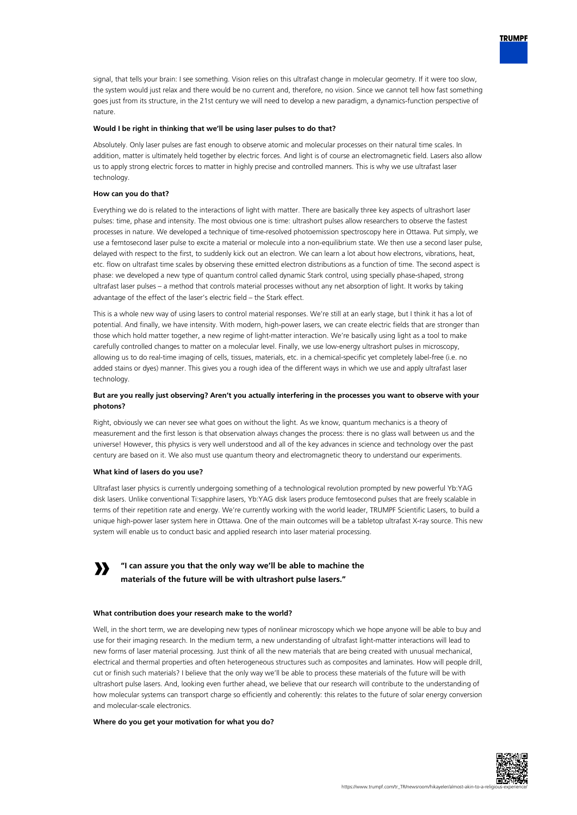

signal, that tells your brain: I see something. Vision relies on this ultrafast change in molecular geometry. If it were too slow, the system would just relax and there would be no current and, therefore, no vision. Since we cannot tell how fast something goes just from its structure, in the 21st century we will need to develop a new paradigm, a dynamics-function perspective of nature.

#### **Would I be right in thinking that we'll be using laser pulses to do that?**

Absolutely. Only laser pulses are fast enough to observe atomic and molecular processes on their natural time scales. In addition, matter is ultimately held together by electric forces. And light is of course an electromagnetic field. Lasers also allow us to apply strong electric forces to matter in highly precise and controlled manners. This is why we use ultrafast laser technology.

#### **How can you do that?**

Everything we do is related to the interactions of light with matter. There are basically three key aspects of ultrashort laser pulses: time, phase and intensity. The most obvious one is time: ultrashort pulses allow researchers to observe the fastest processes in nature. We developed a technique of time-resolved photoemission spectroscopy here in Ottawa. Put simply, we use a femtosecond laser pulse to excite a material or molecule into a non-equilibrium state. We then use a second laser pulse, delayed with respect to the first, to suddenly kick out an electron. We can learn a lot about how electrons, vibrations, heat, etc. flow on ultrafast time scales by observing these emitted electron distributions as a function of time. The second aspect is phase: we developed a new type of quantum control called dynamic Stark control, using specially phase-shaped, strong ultrafast laser pulses – a method that controls material processes without any net absorption of light. It works by taking advantage of the effect of the laser's electric field – the Stark effect.

This is a whole new way of using lasers to control material responses. We're still at an early stage, but I think it has a lot of potential. And finally, we have intensity. With modern, high-power lasers, we can create electric fields that are stronger than those which hold matter together, a new regime of light-matter interaction. We're basically using light as a tool to make carefully controlled changes to matter on a molecular level. Finally, we use low-energy ultrashort pulses in microscopy, allowing us to do real-time imaging of cells, tissues, materials, etc. in a chemical-specific yet completely label-free (i.e. no added stains or dyes) manner. This gives you a rough idea of the different ways in which we use and apply ultrafast laser technology.

# **But are you really just observing? Aren't you actually interfering in the processes you want to observe with your photons?**

Right, obviously we can never see what goes on without the light. As we know, quantum mechanics is a theory of measurement and the first lesson is that observation always changes the process: there is no glass wall between us and the universe! However, this physics is very well understood and all of the key advances in science and technology over the past century are based on it. We also must use quantum theory and electromagnetic theory to understand our experiments.

#### **What kind of lasers do you use?**

Ultrafast laser physics is currently undergoing something of a technological revolution prompted by new powerful Yb:YAG disk lasers. Unlike conventional Ti:sapphire lasers, Yb:YAG disk lasers produce femtosecond pulses that are freely scalable in terms of their repetition rate and energy. We're currently working with the world leader, TRUMPF Scientific Lasers, to build a unique high-power laser system here in Ottawa. One of the main outcomes will be a tabletop ultrafast X-ray source. This new system will enable us to conduct basic and applied research into laser material processing.

#### **» "I can assure you that the only way we'll be able to machine the materials of the future will be with ultrashort pulse lasers."**

#### **What contribution does your research make to the world?**

Well, in the short term, we are developing new types of nonlinear microscopy which we hope anyone will be able to buy and use for their imaging research. In the medium term, a new understanding of ultrafast light-matter interactions will lead to new forms of laser material processing. Just think of all the new materials that are being created with unusual mechanical, electrical and thermal properties and often heterogeneous structures such as composites and laminates. How will people drill, cut or finish such materials? I believe that the only way we'll be able to process these materials of the future will be with ultrashort pulse lasers. And, looking even further ahead, we believe that our research will contribute to the understanding of how molecular systems can transport charge so efficiently and coherently: this relates to the future of solar energy conversion and molecular-scale electronics.

#### **Where do you get your motivation for what you do?**